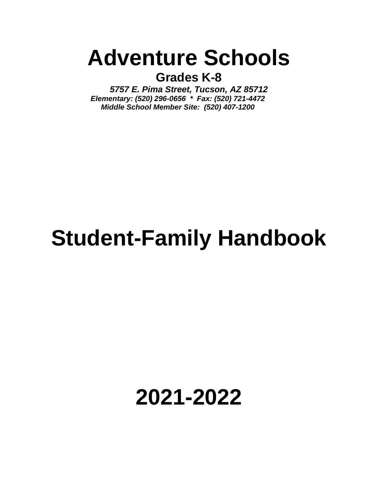### **Adventure Schools**

**Grades K-8**

*5757 E. Pima Street, Tucson, AZ 85712 Elementary: (520) 296-0656 \* Fax: (520) 721-4472 Middle School Member Site: (520) 407-1200*

## **Student-Family Handbook**

### **2021-2022**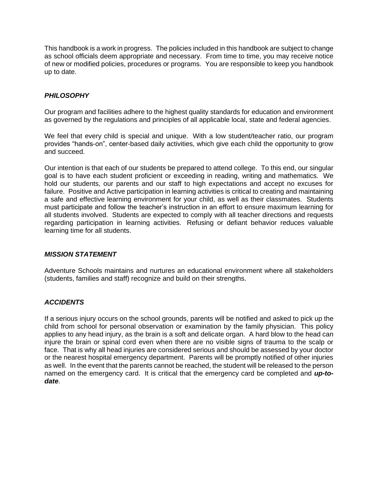This handbook is a work in progress. The policies included in this handbook are subject to change as school officials deem appropriate and necessary. From time to time, you may receive notice of new or modified policies, procedures or programs. You are responsible to keep you handbook up to date.

#### *PHILOSOPHY*

Our program and facilities adhere to the highest quality standards for education and environment as governed by the regulations and principles of all applicable local, state and federal agencies.

We feel that every child is special and unique. With a low student/teacher ratio, our program provides "hands-on", center-based daily activities, which give each child the opportunity to grow and succeed.

Our intention is that each of our students be prepared to attend college. To this end, our singular goal is to have each student proficient or exceeding in reading, writing and mathematics. We hold our students, our parents and our staff to high expectations and accept no excuses for failure. Positive and Active participation in learning activities is critical to creating and maintaining a safe and effective learning environment for your child, as well as their classmates. Students must participate and follow the teacher's instruction in an effort to ensure maximum learning for all students involved. Students are expected to comply with all teacher directions and requests regarding participation in learning activities. Refusing or defiant behavior reduces valuable learning time for all students.

#### *MISSION STATEMENT*

Adventure Schools maintains and nurtures an educational environment where all stakeholders (students, families and staff) recognize and build on their strengths.

#### *ACCIDENTS*

If a serious injury occurs on the school grounds, parents will be notified and asked to pick up the child from school for personal observation or examination by the family physician. This policy applies to any head injury, as the brain is a soft and delicate organ. A hard blow to the head can injure the brain or spinal cord even when there are no visible signs of trauma to the scalp or face. That is why all head injuries are considered serious and should be assessed by your doctor or the nearest hospital emergency department. Parents will be promptly notified of other injuries as well. In the event that the parents cannot be reached, the student will be released to the person named on the emergency card. It is critical that the emergency card be completed and *up-todate*.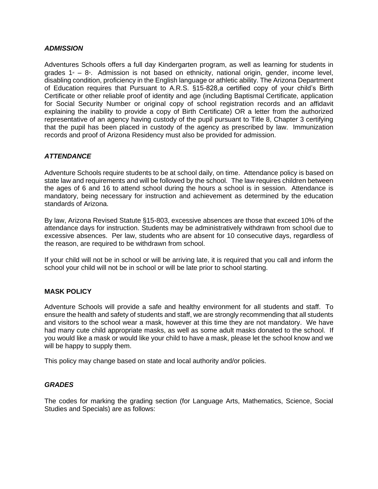#### *ADMISSION*

Adventures Schools offers a full day Kindergarten program, as well as learning for students in grades  $1 - 8$ <sup>th</sup>. Admission is not based on ethnicity, national origin, gender, income level, disabling condition, proficiency in the English language or athletic ability. The Arizona Department of Education requires that Pursuant to A.R.S. §15-828,a certified copy of your child's Birth Certificate or other reliable proof of identity and age (including Baptismal Certificate, application for Social Security Number or original copy of school registration records and an affidavit explaining the inability to provide a copy of Birth Certificate) OR a letter from the authorized representative of an agency having custody of the pupil pursuant to Title 8, Chapter 3 certifying that the pupil has been placed in custody of the agency as prescribed by law. Immunization records and proof of Arizona Residency must also be provided for admission.

#### *ATTENDANCE*

Adventure Schools require students to be at school daily, on time. Attendance policy is based on state law and requirements and will be followed by the school. The law requires children between the ages of 6 and 16 to attend school during the hours a school is in session. Attendance is mandatory, being necessary for instruction and achievement as determined by the education standards of Arizona.

By law, Arizona Revised Statute §15-803, excessive absences are those that exceed 10% of the attendance days for instruction. Students may be administratively withdrawn from school due to excessive absences. Per law, students who are absent for 10 consecutive days, regardless of the reason, are required to be withdrawn from school.

If your child will not be in school or will be arriving late, it is required that you call and inform the school your child will not be in school or will be late prior to school starting.

#### **MASK POLICY**

Adventure Schools will provide a safe and healthy environment for all students and staff. To ensure the health and safety of students and staff, we are strongly recommending that all students and visitors to the school wear a mask, however at this time they are not mandatory. We have had many cute child appropriate masks, as well as some adult masks donated to the school. If you would like a mask or would like your child to have a mask, please let the school know and we will be happy to supply them.

This policy may change based on state and local authority and/or policies.

#### *GRADES*

The codes for marking the grading section (for Language Arts, Mathematics, Science, Social Studies and Specials) are as follows: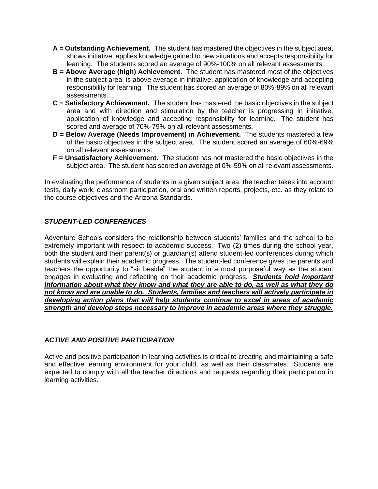- **A = Outstanding Achievement.** The student has mastered the objectives in the subject area, shows initiative, applies knowledge gained to new situations and accepts responsibility for learning. The students scored an average of 90%-100% on all relevant assessments.
- **B = Above Average (high) Achievement.** The student has mastered most of the objectives in the subject area, is above average in initiative, application of knowledge and accepting responsibility for learning. The student has scored an average of 80%-89% on all relevant assessments.
- **C = Satisfactory Achievement.** The student has mastered the basic objectives in the subject area and with direction and stimulation by the teacher is progressing in initiative, application of knowledge and accepting responsibility for learning. The student has scored and average of 70%-79% on all relevant assessments.
- **D = Below Average (Needs Improvement) in Achievement.** The students mastered a few of the basic objectives in the subject area. The student scored an average of 60%-69% on all relevant assessments.
- **F = Unsatisfactory Achievement.** The student has not mastered the basic objectives in the subject area. The student has scored an average of 0%-59% on all relevant assessments.

In evaluating the performance of students in a given subject area, the teacher takes into account tests, daily work, classroom participation, oral and written reports, projects, etc. as they relate to the course objectives and the Arizona Standards.

#### *STUDENT-LED CONFERENCES*

Adventure Schools considers the relationship between students' families and the school to be extremely important with respect to academic success. Two (2) times during the school year, both the student and their parent(s) or guardian(s) attend student-led conferences during which students will explain their academic progress. The student-led conference gives the parents and teachers the opportunity to "sit beside" the student in a most purposeful way as the student engages in evaluating and reflecting on their academic progress. *Students hold important information about what they know and what they are able to do, as well as what they do not know and are unable to do. Students, families and teachers will actively participate in developing action plans that will help students continue to excel in areas of academic strength and develop steps necessary to improve in academic areas where they struggle.*

#### *ACTIVE AND POSITIVE PARTICIPATION*

Active and positive participation in learning activities is critical to creating and maintaining a safe and effective learning environment for your child, as well as their classmates. Students are expected to comply with all the teacher directions and requests regarding their participation in learning activities.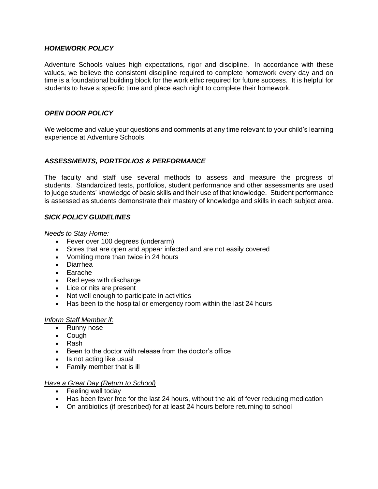#### *HOMEWORK POLICY*

Adventure Schools values high expectations, rigor and discipline. In accordance with these values, we believe the consistent discipline required to complete homework every day and on time is a foundational building block for the work ethic required for future success. It is helpful for students to have a specific time and place each night to complete their homework.

#### *OPEN DOOR POLICY*

We welcome and value your questions and comments at any time relevant to your child's learning experience at Adventure Schools.

#### *ASSESSMENTS, PORTFOLIOS & PERFORMANCE*

The faculty and staff use several methods to assess and measure the progress of students. Standardized tests, portfolios, student performance and other assessments are used to judge students' knowledge of basic skills and their use of that knowledge. Student performance is assessed as students demonstrate their mastery of knowledge and skills in each subject area.

#### *SICK POLICY GUIDELINES*

*Needs to Stay Home:*

- Fever over 100 degrees (underarm)
- Sores that are open and appear infected and are not easily covered
- Vomiting more than twice in 24 hours
- Diarrhea
- Earache
- Red eyes with discharge
- Lice or nits are present
- Not well enough to participate in activities
- Has been to the hospital or emergency room within the last 24 hours

#### *Inform Staff Member if:*

- Runny nose
- Cough
- Rash
- Been to the doctor with release from the doctor's office
- Is not acting like usual
- Family member that is ill

#### *Have a Great Day (Return to School)*

- Feeling well today
- Has been fever free for the last 24 hours, without the aid of fever reducing medication
- On antibiotics (if prescribed) for at least 24 hours before returning to school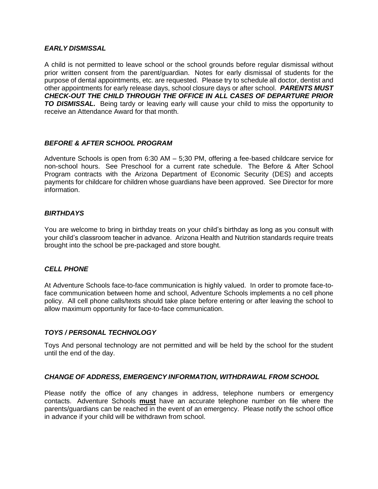#### *EARLY DISMISSAL*

A child is not permitted to leave school or the school grounds before regular dismissal without prior written consent from the parent/guardian. Notes for early dismissal of students for the purpose of dental appointments, etc. are requested. Please try to schedule all doctor, dentist and other appointments for early release days, school closure days or after school. *PARENTS MUST CHECK-OUT THE CHILD THROUGH THE OFFICE IN ALL CASES OF DEPARTURE PRIOR*  **TO DISMISSAL.** Being tardy or leaving early will cause your child to miss the opportunity to receive an Attendance Award for that month.

#### *BEFORE & AFTER SCHOOL PROGRAM*

Adventure Schools is open from 6:30 AM – 5;30 PM, offering a fee-based childcare service for non-school hours. See Preschool for a current rate schedule. The Before & After School Program contracts with the Arizona Department of Economic Security (DES) and accepts payments for childcare for children whose guardians have been approved. See Director for more information.

#### *BIRTHDAYS*

You are welcome to bring in birthday treats on your child's birthday as long as you consult with your child's classroom teacher in advance. Arizona Health and Nutrition standards require treats brought into the school be pre-packaged and store bought.

#### *CELL PHONE*

At Adventure Schools face-to-face communication is highly valued. In order to promote face-toface communication between home and school, Adventure Schools implements a no cell phone policy. All cell phone calls/texts should take place before entering or after leaving the school to allow maximum opportunity for face-to-face communication.

#### *TOYS / PERSONAL TECHNOLOGY*

Toys And personal technology are not permitted and will be held by the school for the student until the end of the day.

#### *CHANGE OF ADDRESS, EMERGENCY INFORMATION, WITHDRAWAL FROM SCHOOL*

Please notify the office of any changes in address, telephone numbers or emergency contacts. Adventure Schools **must** have an accurate telephone number on file where the parents/guardians can be reached in the event of an emergency. Please notify the school office in advance if your child will be withdrawn from school.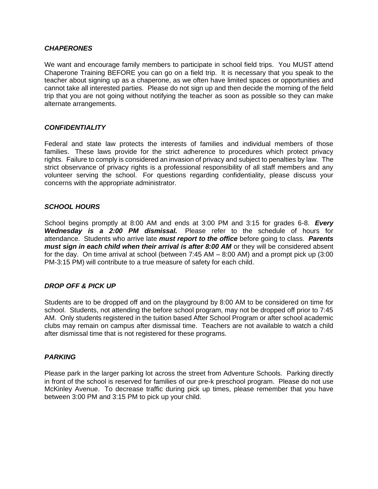#### *CHAPERONES*

We want and encourage family members to participate in school field trips. You MUST attend Chaperone Training BEFORE you can go on a field trip. It is necessary that you speak to the teacher about signing up as a chaperone, as we often have limited spaces or opportunities and cannot take all interested parties. Please do not sign up and then decide the morning of the field trip that you are not going without notifying the teacher as soon as possible so they can make alternate arrangements.

#### *CONFIDENTIALITY*

Federal and state law protects the interests of families and individual members of those families. These laws provide for the strict adherence to procedures which protect privacy rights. Failure to comply is considered an invasion of privacy and subject to penalties by law. The strict observance of privacy rights is a professional responsibility of all staff members and any volunteer serving the school. For questions regarding confidentiality, please discuss your concerns with the appropriate administrator.

#### *SCHOOL HOURS*

School begins promptly at 8:00 AM and ends at 3:00 PM and 3:15 for grades 6-8. *Every Wednesday is a 2:00 PM dismissal.* Please refer to the schedule of hours for attendance. Students who arrive late *must report to the office* before going to class. *Parents must sign in each child when their arrival is after 8:00 AM* or they will be considered absent for the day. On time arrival at school (between 7:45 AM – 8:00 AM) and a prompt pick up (3:00 PM-3:15 PM) will contribute to a true measure of safety for each child.

#### *DROP OFF & PICK UP*

Students are to be dropped off and on the playground by 8:00 AM to be considered on time for school. Students, not attending the before school program, may not be dropped off prior to 7:45 AM. Only students registered in the tuition based After School Program or after school academic clubs may remain on campus after dismissal time. Teachers are not available to watch a child after dismissal time that is not registered for these programs.

#### *PARKING*

Please park in the larger parking lot across the street from Adventure Schools. Parking directly in front of the school is reserved for families of our pre-k preschool program. Please do not use McKinley Avenue. To decrease traffic during pick up times, please remember that you have between 3:00 PM and 3:15 PM to pick up your child.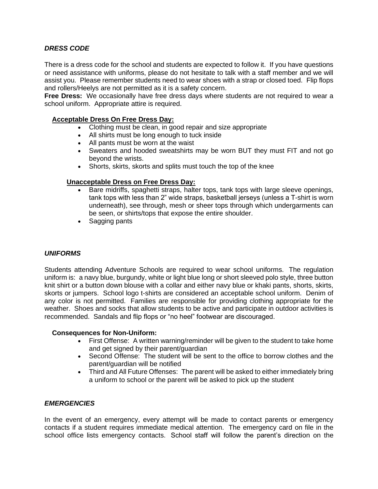#### *DRESS CODE*

There is a dress code for the school and students are expected to follow it. If you have questions or need assistance with uniforms, please do not hesitate to talk with a staff member and we will assist you. Please remember students need to wear shoes with a strap or closed toed. Flip flops and rollers/Heelys are not permitted as it is a safety concern.

**Free Dress:** We occasionally have free dress days where students are not required to wear a school uniform. Appropriate attire is required.

#### **Acceptable Dress On Free Dress Day:**

- Clothing must be clean, in good repair and size appropriate
- All shirts must be long enough to tuck inside
- All pants must be worn at the waist
- Sweaters and hooded sweatshirts may be worn BUT they must FIT and not go beyond the wrists.
- Shorts, skirts, skorts and splits must touch the top of the knee

#### **Unacceptable Dress on Free Dress Day:**

- Bare midriffs, spaghetti straps, halter tops, tank tops with large sleeve openings, tank tops with less than 2" wide straps, basketball jerseys (unless a T-shirt is worn underneath), see through, mesh or sheer tops through which undergarments can be seen, or shirts/tops that expose the entire shoulder.
- Sagging pants

#### *UNIFORMS*

Students attending Adventure Schools are required to wear school uniforms. The regulation uniform is: a navy blue, burgundy, white or light blue long or short sleeved polo style, three button knit shirt or a button down blouse with a collar and either navy blue or khaki pants, shorts, skirts, skorts or jumpers. School logo t-shirts are considered an acceptable school uniform. Denim of any color is not permitted. Families are responsible for providing clothing appropriate for the weather. Shoes and socks that allow students to be active and participate in outdoor activities is recommended. Sandals and flip flops or "no heel" footwear are discouraged.

#### **Consequences for Non-Uniform:**

- First Offense: A written warning/reminder will be given to the student to take home and get signed by their parent/guardian
- Second Offense: The student will be sent to the office to borrow clothes and the parent/guardian will be notified
- Third and All Future Offenses: The parent will be asked to either immediately bring a uniform to school or the parent will be asked to pick up the student

#### *EMERGENCIES*

In the event of an emergency, every attempt will be made to contact parents or emergency contacts if a student requires immediate medical attention. The emergency card on file in the school office lists emergency contacts. School staff will follow the parent's direction on the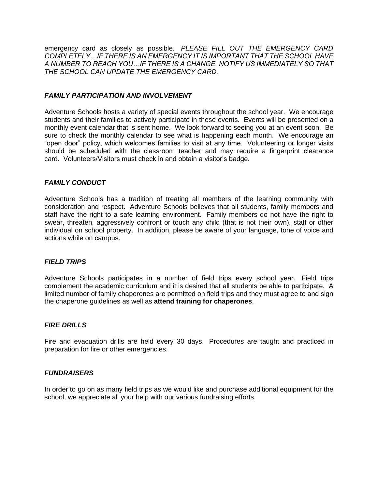emergency card as closely as possible. *PLEASE FILL OUT THE EMERGENCY CARD COMPLETELY…IF THERE IS AN EMERGENCY IT IS IMPORTANT THAT THE SCHOOL HAVE A NUMBER TO REACH YOU…IF THERE IS A CHANGE, NOTIFY US IMMEDIATELY SO THAT THE SCHOOL CAN UPDATE THE EMERGENCY CARD.*

#### *FAMILY PARTICIPATION AND INVOLVEMENT*

Adventure Schools hosts a variety of special events throughout the school year. We encourage students and their families to actively participate in these events. Events will be presented on a monthly event calendar that is sent home. We look forward to seeing you at an event soon. Be sure to check the monthly calendar to see what is happening each month. We encourage an "open door" policy, which welcomes families to visit at any time. Volunteering or longer visits should be scheduled with the classroom teacher and may require a fingerprint clearance card. Volunteers/Visitors must check in and obtain a visitor's badge.

#### *FAMILY CONDUCT*

Adventure Schools has a tradition of treating all members of the learning community with consideration and respect. Adventure Schools believes that all students, family members and staff have the right to a safe learning environment. Family members do not have the right to swear, threaten, aggressively confront or touch any child (that is not their own), staff or other individual on school property. In addition, please be aware of your language, tone of voice and actions while on campus.

#### *FIELD TRIPS*

Adventure Schools participates in a number of field trips every school year. Field trips complement the academic curriculum and it is desired that all students be able to participate. A limited number of family chaperones are permitted on field trips and they must agree to and sign the chaperone guidelines as well as **attend training for chaperones**.

#### *FIRE DRILLS*

Fire and evacuation drills are held every 30 days. Procedures are taught and practiced in preparation for fire or other emergencies.

#### *FUNDRAISERS*

In order to go on as many field trips as we would like and purchase additional equipment for the school, we appreciate all your help with our various fundraising efforts.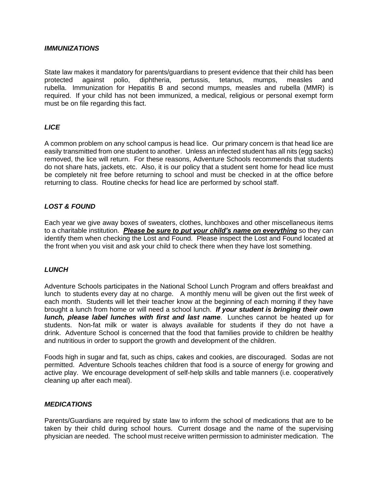#### *IMMUNIZATIONS*

State law makes it mandatory for parents/guardians to present evidence that their child has been protected against polio, diphtheria, pertussis, tetanus, mumps, measles and rubella. Immunization for Hepatitis B and second mumps, measles and rubella (MMR) is required. If your child has not been immunized, a medical, religious or personal exempt form must be on file regarding this fact.

#### *LICE*

A common problem on any school campus is head lice. Our primary concern is that head lice are easily transmitted from one student to another. Unless an infected student has all nits (egg sacks) removed, the lice will return. For these reasons, Adventure Schools recommends that students do not share hats, jackets, etc. Also, it is our policy that a student sent home for head lice must be completely nit free before returning to school and must be checked in at the office before returning to class. Routine checks for head lice are performed by school staff.

#### *LOST & FOUND*

Each year we give away boxes of sweaters, clothes, lunchboxes and other miscellaneous items to a charitable institution. *Please be sure to put your child's name on everything* so they can identify them when checking the Lost and Found. Please inspect the Lost and Found located at the front when you visit and ask your child to check there when they have lost something.

#### *LUNCH*

Adventure Schools participates in the National School Lunch Program and offers breakfast and lunch to students every day at no charge. A monthly menu will be given out the first week of each month. Students will let their teacher know at the beginning of each morning if they have brought a lunch from home or will need a school lunch. *If your student is bringing their own lunch, please label lunches with first and last name*. Lunches cannot be heated up for students. Non-fat milk or water is always available for students if they do not have a drink. Adventure School is concerned that the food that families provide to children be healthy and nutritious in order to support the growth and development of the children.

Foods high in sugar and fat, such as chips, cakes and cookies, are discouraged. Sodas are not permitted. Adventure Schools teaches children that food is a source of energy for growing and active play. We encourage development of self-help skills and table manners (i.e. cooperatively cleaning up after each meal).

#### *MEDICATIONS*

Parents/Guardians are required by state law to inform the school of medications that are to be taken by their child during school hours. Current dosage and the name of the supervising physician are needed. The school must receive written permission to administer medication. The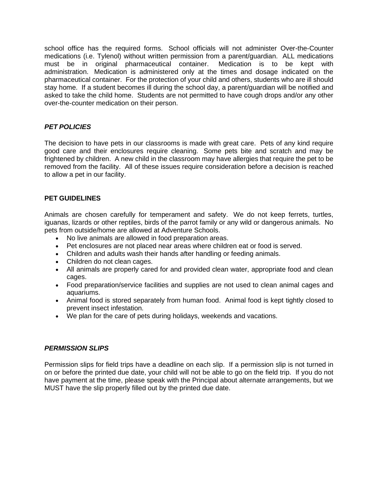school office has the required forms. School officials will not administer Over-the-Counter medications (i.e. Tylenol) without written permission from a parent/guardian. ALL medications must be in original pharmaceutical container. Medication is to be kept with administration. Medication is administered only at the times and dosage indicated on the pharmaceutical container. For the protection of your child and others, students who are ill should stay home. If a student becomes ill during the school day, a parent/guardian will be notified and asked to take the child home. Students are not permitted to have cough drops and/or any other over-the-counter medication on their person.

#### *PET POLICIES*

The decision to have pets in our classrooms is made with great care. Pets of any kind require good care and their enclosures require cleaning. Some pets bite and scratch and may be frightened by children. A new child in the classroom may have allergies that require the pet to be removed from the facility. All of these issues require consideration before a decision is reached to allow a pet in our facility.

#### **PET GUIDELINES**

Animals are chosen carefully for temperament and safety. We do not keep ferrets, turtles, iguanas, lizards or other reptiles, birds of the parrot family or any wild or dangerous animals. No pets from outside/home are allowed at Adventure Schools.

- No live animals are allowed in food preparation areas.
- Pet enclosures are not placed near areas where children eat or food is served.
- Children and adults wash their hands after handling or feeding animals.
- Children do not clean cages.
- All animals are properly cared for and provided clean water, appropriate food and clean cages.
- Food preparation/service facilities and supplies are not used to clean animal cages and aquariums.
- Animal food is stored separately from human food. Animal food is kept tightly closed to prevent insect infestation.
- We plan for the care of pets during holidays, weekends and vacations.

#### *PERMISSION SLIPS*

Permission slips for field trips have a deadline on each slip. If a permission slip is not turned in on or before the printed due date, your child will not be able to go on the field trip. If you do not have payment at the time, please speak with the Principal about alternate arrangements, but we MUST have the slip properly filled out by the printed due date.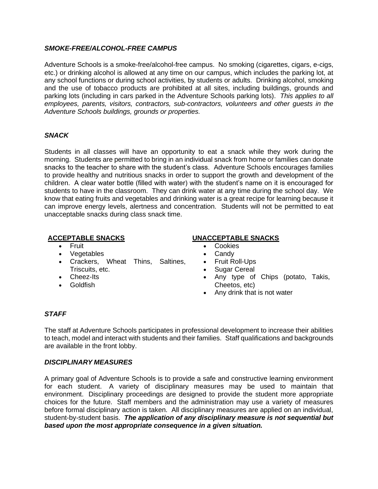#### *SMOKE-FREE/ALCOHOL-FREE CAMPUS*

Adventure Schools is a smoke-free/alcohol-free campus. No smoking (cigarettes, cigars, e-cigs, etc.) or drinking alcohol is allowed at any time on our campus, which includes the parking lot, at any school functions or during school activities, by students or adults. Drinking alcohol, smoking and the use of tobacco products are prohibited at all sites, including buildings, grounds and parking lots (including in cars parked in the Adventure Schools parking lots). *This applies to all employees, parents, visitors, contractors, sub-contractors, volunteers and other guests in the Adventure Schools buildings, grounds or properties.*

#### *SNACK*

Students in all classes will have an opportunity to eat a snack while they work during the morning. Students are permitted to bring in an individual snack from home or families can donate snacks to the teacher to share with the student's class. Adventure Schools encourages families to provide healthy and nutritious snacks in order to support the growth and development of the children. A clear water bottle (filled with water) with the student's name on it is encouraged for students to have in the classroom. They can drink water at any time during the school day. We know that eating fruits and vegetables and drinking water is a great recipe for learning because it can improve energy levels, alertness and concentration. Students will not be permitted to eat unacceptable snacks during class snack time.

- Fruit
- Vegetables
- Crackers, Wheat Thins, Saltines, Triscuits, etc.
- Cheez-Its
- **Goldfish**

#### **ACCEPTABLE SNACKS UNACCEPTABLE SNACKS**

- **Cookies**
- Candy
- Fruit Roll-Ups
- Sugar Cereal
- Any type of Chips (potato, Takis, Cheetos, etc)
- Any drink that is not water

#### *STAFF*

The staff at Adventure Schools participates in professional development to increase their abilities to teach, model and interact with students and their families. Staff qualifications and backgrounds are available in the front lobby.

#### *DISCIPLINARY MEASURES*

A primary goal of Adventure Schools is to provide a safe and constructive learning environment for each student. A variety of disciplinary measures may be used to maintain that environment. Disciplinary proceedings are designed to provide the student more appropriate choices for the future. Staff members and the administration may use a variety of measures before formal disciplinary action is taken. All disciplinary measures are applied on an individual, student-by-student basis. *The application of any disciplinary measure is not sequential but based upon the most appropriate consequence in a given situation.*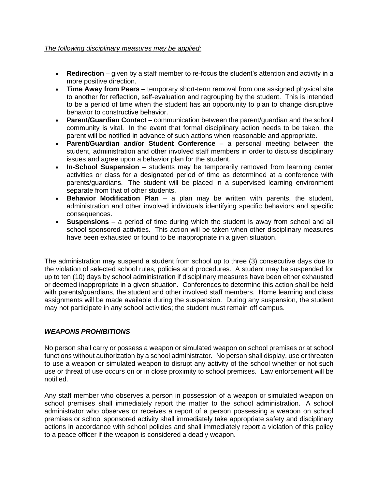#### *The following disciplinary measures may be applied:*

- **Redirection** given by a staff member to re-focus the student's attention and activity in a more positive direction.
- **Time Away from Peers** temporary short-term removal from one assigned physical site to another for reflection, self-evaluation and regrouping by the student. This is intended to be a period of time when the student has an opportunity to plan to change disruptive behavior to constructive behavior.
- **Parent/Guardian Contact**  communication between the parent/guardian and the school community is vital. In the event that formal disciplinary action needs to be taken, the parent will be notified in advance of such actions when reasonable and appropriate.
- **Parent/Guardian and/or Student Conference**  a personal meeting between the student, administration and other involved staff members in order to discuss disciplinary issues and agree upon a behavior plan for the student.
- **In-School Suspension**  students may be temporarily removed from learning center activities or class for a designated period of time as determined at a conference with parents/guardians. The student will be placed in a supervised learning environment separate from that of other students.
- **Behavior Modification Plan**  a plan may be written with parents, the student, administration and other involved individuals identifying specific behaviors and specific consequences.
- **Suspensions**  a period of time during which the student is away from school and all school sponsored activities. This action will be taken when other disciplinary measures have been exhausted or found to be inappropriate in a given situation.

The administration may suspend a student from school up to three (3) consecutive days due to the violation of selected school rules, policies and procedures. A student may be suspended for up to ten (10) days by school administration if disciplinary measures have been either exhausted or deemed inappropriate in a given situation. Conferences to determine this action shall be held with parents/guardians, the student and other involved staff members. Home learning and class assignments will be made available during the suspension. During any suspension, the student may not participate in any school activities; the student must remain off campus.

#### *WEAPONS PROHIBITIONS*

No person shall carry or possess a weapon or simulated weapon on school premises or at school functions without authorization by a school administrator. No person shall display, use or threaten to use a weapon or simulated weapon to disrupt any activity of the school whether or not such use or threat of use occurs on or in close proximity to school premises. Law enforcement will be notified.

Any staff member who observes a person in possession of a weapon or simulated weapon on school premises shall immediately report the matter to the school administration. A school administrator who observes or receives a report of a person possessing a weapon on school premises or school sponsored activity shall immediately take appropriate safety and disciplinary actions in accordance with school policies and shall immediately report a violation of this policy to a peace officer if the weapon is considered a deadly weapon.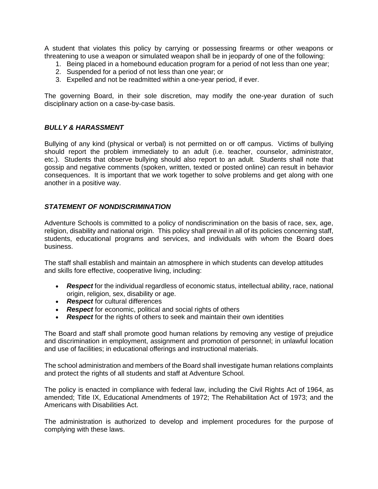A student that violates this policy by carrying or possessing firearms or other weapons or threatening to use a weapon or simulated weapon shall be in jeopardy of one of the following:

- 1. Being placed in a homebound education program for a period of not less than one year;
- 2. Suspended for a period of not less than one year; or
- 3. Expelled and not be readmitted within a one-year period, if ever.

The governing Board, in their sole discretion, may modify the one-year duration of such disciplinary action on a case-by-case basis.

#### *BULLY & HARASSMENT*

Bullying of any kind (physical or verbal) is not permitted on or off campus. Victims of bullying should report the problem immediately to an adult (i.e. teacher, counselor, administrator, etc.). Students that observe bullying should also report to an adult. Students shall note that gossip and negative comments (spoken, written, texted or posted online) can result in behavior consequences. It is important that we work together to solve problems and get along with one another in a positive way.

#### *STATEMENT OF NONDISCRIMINATION*

Adventure Schools is committed to a policy of nondiscrimination on the basis of race, sex, age, religion, disability and national origin. This policy shall prevail in all of its policies concerning staff, students, educational programs and services, and individuals with whom the Board does business.

The staff shall establish and maintain an atmosphere in which students can develop attitudes and skills fore effective, cooperative living, including:

- *Respect* for the individual regardless of economic status, intellectual ability, race, national origin, religion, sex, disability or age.
- *Respect* for cultural differences
- *Respect* for economic, political and social rights of others
- *Respect* for the rights of others to seek and maintain their own identities

The Board and staff shall promote good human relations by removing any vestige of prejudice and discrimination in employment, assignment and promotion of personnel; in unlawful location and use of facilities; in educational offerings and instructional materials.

The school administration and members of the Board shall investigate human relations complaints and protect the rights of all students and staff at Adventure School.

The policy is enacted in compliance with federal law, including the Civil Rights Act of 1964, as amended; Title IX, Educational Amendments of 1972; The Rehabilitation Act of 1973; and the Americans with Disabilities Act.

The administration is authorized to develop and implement procedures for the purpose of complying with these laws.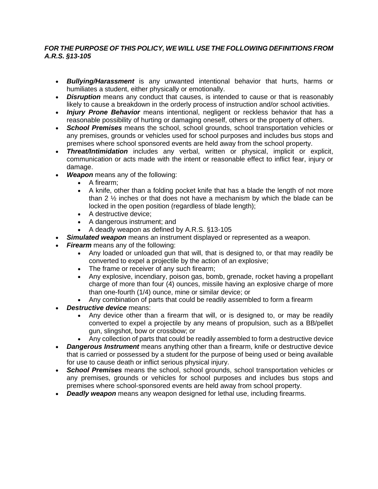#### *FOR THE PURPOSE OF THIS POLICY, WE WILL USE THE FOLLOWING DEFINITIONS FROM A.R.S. §13-105*

- *Bullying/Harassment* is any unwanted intentional behavior that hurts, harms or humiliates a student, either physically or emotionally.
- *Disruption* means any conduct that causes, is intended to cause or that is reasonably likely to cause a breakdown in the orderly process of instruction and/or school activities.
- *Injury Prone Behavior* means intentional, negligent or reckless behavior that has a reasonable possibility of hurting or damaging oneself, others or the property of others.
- *School Premises* means the school, school grounds, school transportation vehicles or any premises, grounds or vehicles used for school purposes and includes bus stops and premises where school sponsored events are held away from the school property.
- *Threat/Intimidation* includes any verbal, written or physical, implicit or explicit, communication or acts made with the intent or reasonable effect to inflict fear, injury or damage.
- *Weapon* means any of the following:
	- A firearm;
	- A knife, other than a folding pocket knife that has a blade the length of not more than  $2 \frac{1}{2}$  inches or that does not have a mechanism by which the blade can be locked in the open position (regardless of blade length);
	- A destructive device;
	- A dangerous instrument; and
	- A deadly weapon as defined by A.R.S. §13-105
- *Simulated weapon* means an instrument displayed or represented as a weapon.
- **Firearm** means any of the following:
	- Any loaded or unloaded gun that will, that is designed to, or that may readily be converted to expel a projectile by the action of an explosive;
	- The frame or receiver of any such firearm;
	- Any explosive, incendiary, poison gas, bomb, grenade, rocket having a propellant charge of more than four (4) ounces, missile having an explosive charge of more than one-fourth (1/4) ounce, mine or similar device; or
	- Any combination of parts that could be readily assembled to form a firearm
- *Destructive device* means:
	- Any device other than a firearm that will, or is designed to, or may be readily converted to expel a projectile by any means of propulsion, such as a BB/pellet gun, slingshot, bow or crossbow; or
	- Any collection of parts that could be readily assembled to form a destructive device
- *Dangerous Instrument* means anything other than a firearm, knife or destructive device that is carried or possessed by a student for the purpose of being used or being available for use to cause death or inflict serious physical injury.
- *School Premises* means the school, school grounds, school transportation vehicles or any premises, grounds or vehicles for school purposes and includes bus stops and premises where school-sponsored events are held away from school property.
- *Deadly weapon* means any weapon designed for lethal use, including firearms.